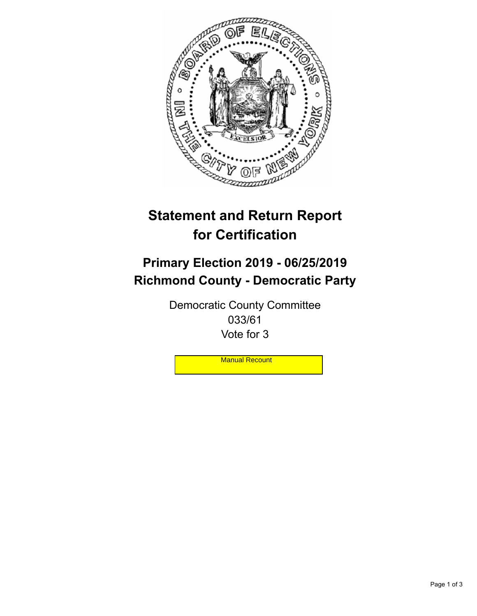

## **Statement and Return Report for Certification**

## **Primary Election 2019 - 06/25/2019 Richmond County - Democratic Party**

Democratic County Committee 033/61 Vote for 3

**Manual Recount**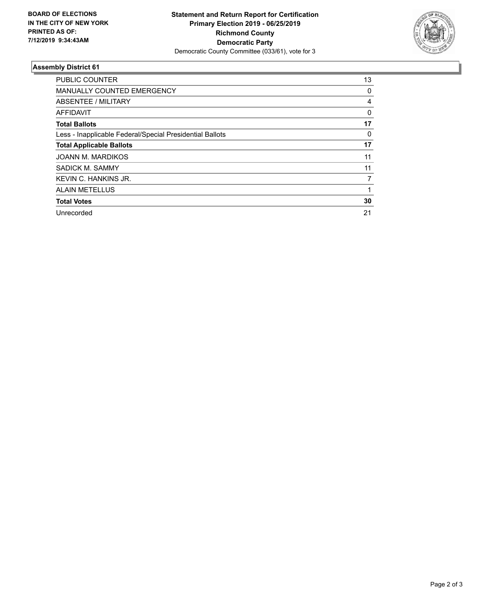

## **Assembly District 61**

| <b>PUBLIC COUNTER</b>                                    | 13           |
|----------------------------------------------------------|--------------|
| <b>MANUALLY COUNTED EMERGENCY</b>                        | 0            |
| ABSENTEE / MILITARY                                      | 4            |
| AFFIDAVIT                                                | $\mathbf{0}$ |
| <b>Total Ballots</b>                                     | 17           |
| Less - Inapplicable Federal/Special Presidential Ballots | 0            |
| <b>Total Applicable Ballots</b>                          | 17           |
| <b>JOANN M. MARDIKOS</b>                                 | 11           |
| SADICK M. SAMMY                                          | 11           |
| KEVIN C. HANKINS JR.                                     | 7            |
| <b>ALAIN METELLUS</b>                                    |              |
| <b>Total Votes</b>                                       | 30           |
| Unrecorded                                               | 21           |